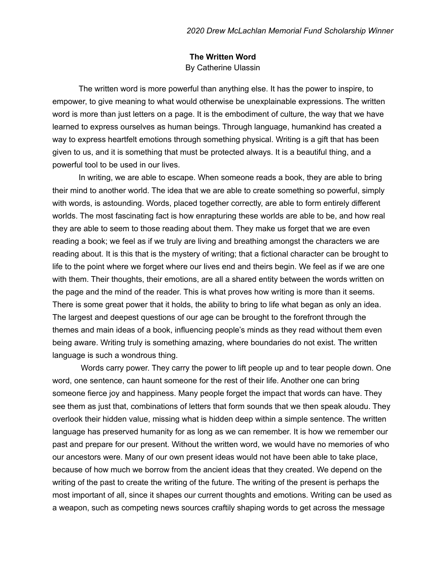## **The Written Word** By Catherine Ulassin

The written word is more powerful than anything else. It has the power to inspire, to empower, to give meaning to what would otherwise be unexplainable expressions. The written word is more than just letters on a page. It is the embodiment of culture, the way that we have learned to express ourselves as human beings. Through language, humankind has created a way to express heartfelt emotions through something physical. Writing is a gift that has been given to us, and it is something that must be protected always. It is a beautiful thing, and a powerful tool to be used in our lives.

In writing, we are able to escape. When someone reads a book, they are able to bring their mind to another world. The idea that we are able to create something so powerful, simply with words, is astounding. Words, placed together correctly, are able to form entirely different worlds. The most fascinating fact is how enrapturing these worlds are able to be, and how real they are able to seem to those reading about them. They make us forget that we are even reading a book; we feel as if we truly are living and breathing amongst the characters we are reading about. It is this that is the mystery of writing; that a fictional character can be brought to life to the point where we forget where our lives end and theirs begin. We feel as if we are one with them. Their thoughts, their emotions, are all a shared entity between the words written on the page and the mind of the reader. This is what proves how writing is more than it seems. There is some great power that it holds, the ability to bring to life what began as only an idea. The largest and deepest questions of our age can be brought to the forefront through the themes and main ideas of a book, influencing people's minds as they read without them even being aware. Writing truly is something amazing, where boundaries do not exist. The written language is such a wondrous thing.

Words carry power. They carry the power to lift people up and to tear people down. One word, one sentence, can haunt someone for the rest of their life. Another one can bring someone fierce joy and happiness. Many people forget the impact that words can have. They see them as just that, combinations of letters that form sounds that we then speak aloudu. They overlook their hidden value, missing what is hidden deep within a simple sentence. The written language has preserved humanity for as long as we can remember. It is how we remember our past and prepare for our present. Without the written word, we would have no memories of who our ancestors were. Many of our own present ideas would not have been able to take place, because of how much we borrow from the ancient ideas that they created. We depend on the writing of the past to create the writing of the future. The writing of the present is perhaps the most important of all, since it shapes our current thoughts and emotions. Writing can be used as a weapon, such as competing news sources craftily shaping words to get across the message